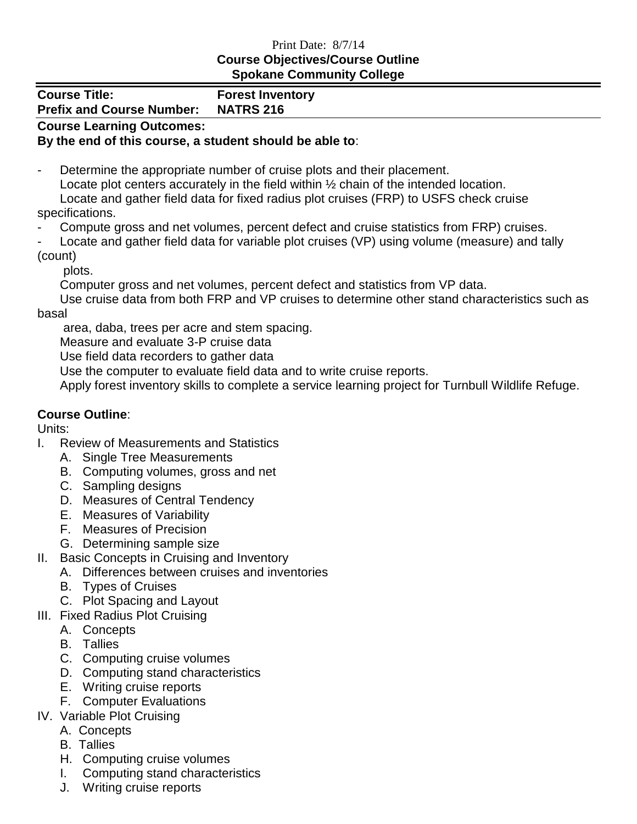## Print Date: 8/7/14 **Course Objectives/Course Outline Spokane Community College**

| <b>Spokane Community Conege</b>                          |                                             |
|----------------------------------------------------------|---------------------------------------------|
| <b>Course Title:</b><br><b>Prefix and Course Number:</b> | <b>Forest Inventory</b><br><b>NATRS 216</b> |
| <b>Course Learning Outcomes:</b>                         |                                             |

## **By the end of this course, a student should be able to**:

Determine the appropriate number of cruise plots and their placement. Locate plot centers accurately in the field within ½ chain of the intended location. Locate and gather field data for fixed radius plot cruises (FRP) to USFS check cruise specifications.

Compute gross and net volumes, percent defect and cruise statistics from FRP) cruises.

Locate and gather field data for variable plot cruises (VP) using volume (measure) and tally (count)

plots.

Computer gross and net volumes, percent defect and statistics from VP data.

Use cruise data from both FRP and VP cruises to determine other stand characteristics such as basal

area, daba, trees per acre and stem spacing.

Measure and evaluate 3-P cruise data

Use field data recorders to gather data

Use the computer to evaluate field data and to write cruise reports.

Apply forest inventory skills to complete a service learning project for Turnbull Wildlife Refuge.

## **Course Outline**:

Units:

- I. Review of Measurements and Statistics
	- A. Single Tree Measurements
	- B. Computing volumes, gross and net
	- C. Sampling designs
	- D. Measures of Central Tendency
	- E. Measures of Variability
	- F. Measures of Precision
	- G. Determining sample size
- II. Basic Concepts in Cruising and Inventory
	- A. Differences between cruises and inventories
	- B. Types of Cruises
	- C. Plot Spacing and Layout
- III. Fixed Radius Plot Cruising
	- A. Concepts
		- B. Tallies
		- C. Computing cruise volumes
		- D. Computing stand characteristics
		- E. Writing cruise reports
	- F. Computer Evaluations
- IV. Variable Plot Cruising
	- A. Concepts
	- B. Tallies
	- H. Computing cruise volumes
	- I. Computing stand characteristics
	- J. Writing cruise reports